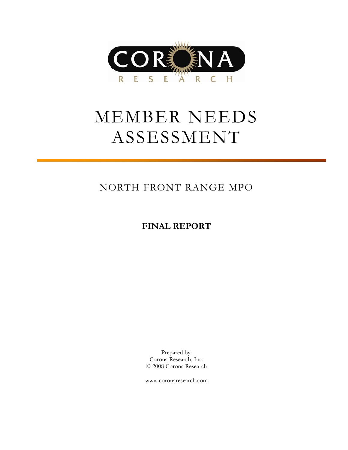

# MEMBER NEEDS ASSESSMENT

### NORTH FRONT RANGE MPO

### **FINAL REPORT**

Prepared by: Corona Research, Inc. © 2008 Corona Research

www.coronaresearch.com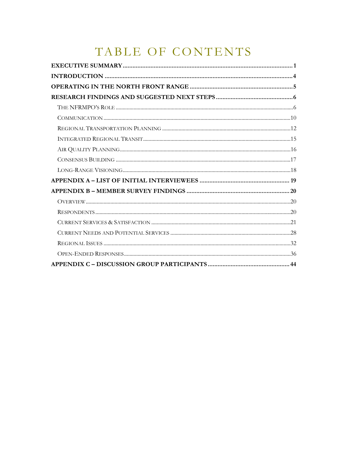## TABLE OF CONTENTS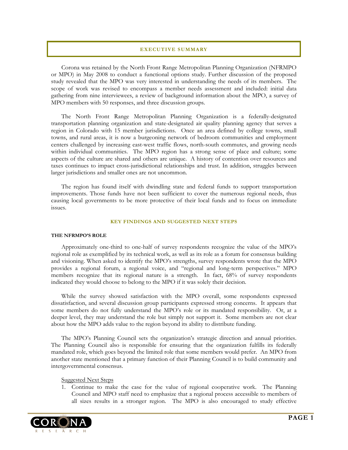#### **EXECUTIVE SUMMARY**

<span id="page-2-0"></span>Corona was retained by the North Front Range Metropolitan Planning Organization (NFRMPO or MPO) in May 2008 to conduct a functional options study. Further discussion of the proposed study revealed that the MPO was very interested in understanding the needs of its members. The scope of work was revised to encompass a member needs assessment and included: initial data gathering from nine interviewees, a review of background information about the MPO, a survey of MPO members with 50 responses, and three discussion groups.

The North Front Range Metropolitan Planning Organization is a federally-designated transportation planning organization and state-designated air quality planning agency that serves a region in Colorado with 15 member jurisdictions. Once an area defined by college towns, small towns, and rural areas, it is now a burgeoning network of bedroom communities and employment centers challenged by increasing east-west traffic flows, north-south commutes, and growing needs within individual communities. The MPO region has a strong sense of place and culture; some aspects of the culture are shared and others are unique. A history of contention over resources and taxes continues to impact cross-jurisdictional relationships and trust. In addition, struggles between larger jurisdictions and smaller ones are not uncommon.

The region has found itself with dwindling state and federal funds to support transportation improvements. Those funds have not been sufficient to cover the numerous regional needs, thus causing local governments to be more protective of their local funds and to focus on immediate issues.

#### **KEY FINDINGS AND SUGGESTED NEXT STEPS**

#### **THE NFRMPO'S ROLE**

Approximately one-third to one-half of survey respondents recognize the value of the MPO's regional role as exemplified by its technical work, as well as its role as a forum for consensus building and visioning. When asked to identify the MPO's strengths, survey respondents wrote that the MPO provides a regional forum, a regional voice, and "regional and long-term perspectives." MPO members recognize that its regional nature is a strength. In fact, 68% of survey respondents indicated they would choose to belong to the MPO if it was solely their decision.

While the survey showed satisfaction with the MPO overall, some respondents expressed dissatisfaction, and several discussion group participants expressed strong concerns. It appears that some members do not fully understand the MPO's role or its mandated responsibility. Or, at a deeper level, they may understand the role but simply not support it. Some members are not clear about how the MPO adds value to the region beyond its ability to distribute funding.

The MPO's Planning Council sets the organization's strategic direction and annual priorities. The Planning Council also is responsible for ensuring that the organization fulfills its federally mandated role, which goes beyond the limited role that some members would prefer. An MPO from another state mentioned that a primary function of their Planning Council is to build community and intergovernmental consensus.

#### Suggested Next Steps

1. Continue to make the case for the value of regional cooperative work. The Planning Council and MPO staff need to emphasize that a regional process accessible to members of all sizes results in a stronger region. The MPO is also encouraged to study effective

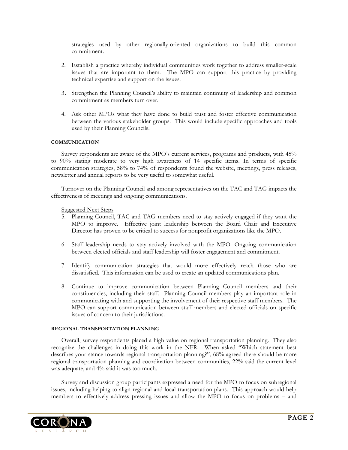strategies used by other regionally-oriented organizations to build this common commitment.

- 2. Establish a practice whereby individual communities work together to address smaller-scale issues that are important to them. The MPO can support this practice by providing technical expertise and support on the issues.
- 3. Strengthen the Planning Council's ability to maintain continuity of leadership and common commitment as members turn over.
- 4. Ask other MPOs what they have done to build trust and foster effective communication between the various stakeholder groups. This would include specific approaches and tools used by their Planning Councils.

#### **COMMUNICATION**

Survey respondents are aware of the MPO's current services, programs and products, with 45% to 90% stating moderate to very high awareness of 14 specific items. In terms of specific communication strategies, 58% to 74% of respondents found the website, meetings, press releases, newsletter and annual reports to be very useful to somewhat useful.

Turnover on the Planning Council and among representatives on the TAC and TAG impacts the effectiveness of meetings and ongoing communications.

#### Suggested Next Steps

- 5. Planning Council, TAC and TAG members need to stay actively engaged if they want the MPO to improve. Effective joint leadership between the Board Chair and Executive Director has proven to be critical to success for nonprofit organizations like the MPO.
- 6. Staff leadership needs to stay actively involved with the MPO. Ongoing communication between elected officials and staff leadership will foster engagement and commitment.
- 7. Identify communication strategies that would more effectively reach those who are dissatisfied. This information can be used to create an updated communications plan.
- 8. Continue to improve communication between Planning Council members and their constituencies, including their staff. Planning Council members play an important role in communicating with and supporting the involvement of their respective staff members. The MPO can support communication between staff members and elected officials on specific issues of concern to their jurisdictions.

#### **REGIONAL TRANSPORTATION PLANNING**

Overall, survey respondents placed a high value on regional transportation planning. They also recognize the challenges in doing this work in the NFR. When asked "Which statement best describes your stance towards regional transportation planning?", 68% agreed there should be more regional transportation planning and coordination between communities, 22% said the current level was adequate, and 4% said it was too much.

Survey and discussion group participants expressed a need for the MPO to focus on subregional issues, including helping to align regional and local transportation plans. This approach would help members to effectively address pressing issues and allow the MPO to focus on problems – and

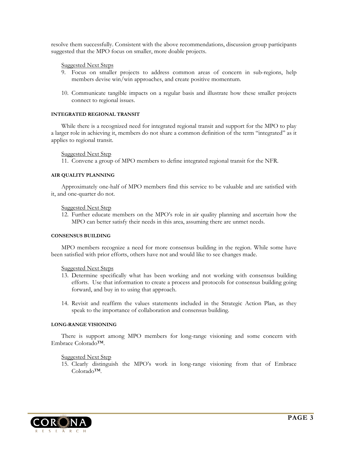resolve them successfully. Consistent with the above recommendations, discussion group participants suggested that the MPO focus on smaller, more doable projects.

#### Suggested Next Steps

- 9. Focus on smaller projects to address common areas of concern in sub-regions, help members devise win/win approaches, and create positive momentum.
- 10. Communicate tangible impacts on a regular basis and illustrate how these smaller projects connect to regional issues.

#### **INTEGRATED REGIONAL TRANSIT**

While there is a recognized need for integrated regional transit and support for the MPO to play a larger role in achieving it, members do not share a common definition of the term "integrated" as it applies to regional transit.

Suggested Next Step

11. Convene a group of MPO members to define integrated regional transit for the NFR.

#### **AIR QUALITY PLANNING**

Approximately one-half of MPO members find this service to be valuable and are satisfied with it, and one-quarter do not.

#### **Suggested Next Step**

12. Further educate members on the MPO's role in air quality planning and ascertain how the MPO can better satisfy their needs in this area, assuming there are unmet needs.

#### **CONSENSUS BUILDING**

MPO members recognize a need for more consensus building in the region. While some have been satisfied with prior efforts, others have not and would like to see changes made.

#### Suggested Next Steps

- 13. Determine specifically what has been working and not working with consensus building efforts. Use that information to create a process and protocols for consensus building going forward, and buy in to using that approach.
- 14. Revisit and reaffirm the values statements included in the Strategic Action Plan, as they speak to the importance of collaboration and consensus building.

#### **LONG-RANGE VISIONING**

There is support among MPO members for long-range visioning and some concern with Embrace Colorado™.

#### Suggested Next Step

15. Clearly distinguish the MPO's work in long-range visioning from that of Embrace Colorado™.

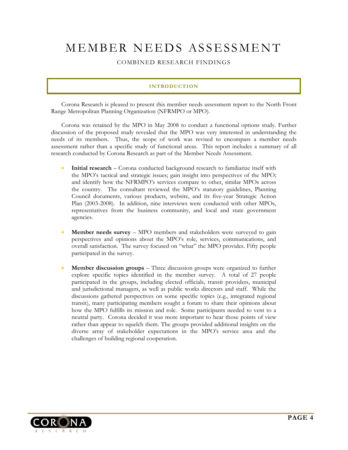## <span id="page-5-0"></span>MEMBER NEEDS ASSESSMENT

COMBINED RESEARCH FINDINGS

#### **INTRODUCTION**

Corona Research is pleased to present this member needs assessment report to the North Front Range Metropolitan Planning Organization (NFRMPO or MPO).

Corona was retained by the MPO in May 2008 to conduct a functional options study. Further discussion of the proposed study revealed that the MPO was very interested in understanding the needs of its members. Thus, the scope of work was revised to encompass a member needs assessment rather than a specific study of functional areas. This report includes a summary of all research conducted by Corona Research as part of the Member Needs Assessment.

- **Initial research** Corona conducted background research to familiarize itself with the MPO's tactical and strategic issues; gain insight into perspectives of the MPO; and identify how the NFRMPO's services compare to other, similar MPOs across the country. The consultant reviewed the MPO's statutory guidelines, Planning Council documents, various products, website, and its five-year Strategic Action Plan (2003-2008). In addition, nine interviews were conducted with other MPOs, representatives from the business community, and local and state government agencies.
- **Member needs survey** MPO members and stakeholders were surveyed to gain perspectives and opinions about the MPO's role, services, communications, and overall satisfaction. The survey focused on "what" the MPO provides. Fifty people participated in the survey.
- **Member discussion groups** Three discussion groups were organized to further explore specific topics identified in the member survey. A total of 27 people participated in the groups, including elected officials, transit providers, municipal and jurisdictional managers, as well as public works directors and staff. While the discussions gathered perspectives on some specific topics (e.g., integrated regional transit), many participating members sought a forum to share their opinions about how the MPO fulfills its mission and role. Some participants needed to vent to a neutral party. Corona decided it was more important to hear those points of view rather than appear to squelch them. The groups provided additional insights on the diverse array of stakeholder expectations in the MPO's service area and the challenges of building regional cooperation.

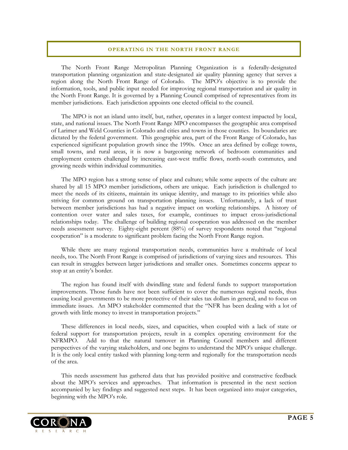#### **OPERATING IN THE NORTH FRONT RANGE**

<span id="page-6-0"></span>The North Front Range Metropolitan Planning Organization is a federally-designated transportation planning organization and state-designated air quality planning agency that serves a region along the North Front Range of Colorado. The MPO's objective is to provide the information, tools, and public input needed for improving regional transportation and air quality in the North Front Range. It is governed by a Planning Council comprised of representatives from its member jurisdictions. Each jurisdiction appoints one elected official to the council.

The MPO is not an island unto itself, but, rather, operates in a larger context impacted by local, state, and national issues. The North Front Range MPO encompasses the geographic area comprised of Larimer and Weld Counties in Colorado and cities and towns in those counties. Its boundaries are dictated by the federal government. This geographic area, part of the Front Range of Colorado, has experienced significant population growth since the 1990s. Once an area defined by college towns, small towns, and rural areas, it is now a burgeoning network of bedroom communities and employment centers challenged by increasing east-west traffic flows, north-south commutes, and growing needs within individual communities.

The MPO region has a strong sense of place and culture; while some aspects of the culture are shared by all 15 MPO member jurisdictions, others are unique. Each jurisdiction is challenged to meet the needs of its citizens, maintain its unique identity, and manage to its priorities while also striving for common ground on transportation planning issues. Unfortunately, a lack of trust between member jurisdictions has had a negative impact on working relationships. A history of contention over water and sales taxes, for example, continues to impact cross-jurisdictional relationships today. The challenge of building regional cooperation was addressed on the member needs assessment survey. Eighty-eight percent (88%) of survey respondents noted that "regional cooperation" is a moderate to significant problem facing the North Front Range region.

While there are many regional transportation needs, communities have a multitude of local needs, too. The North Front Range is comprised of jurisdictions of varying sizes and resources. This can result in struggles between larger jurisdictions and smaller ones. Sometimes concerns appear to stop at an entity's border.

The region has found itself with dwindling state and federal funds to support transportation improvements. Those funds have not been sufficient to cover the numerous regional needs, thus causing local governments to be more protective of their sales tax dollars in general, and to focus on immediate issues. An MPO stakeholder commented that the "NFR has been dealing with a lot of growth with little money to invest in transportation projects."

These differences in local needs, sizes, and capacities, when coupled with a lack of state or federal support for transportation projects, result in a complex operating environment for the NFRMPO. Add to that the natural turnover in Planning Council members and different perspectives of the varying stakeholders, and one begins to understand the MPO's unique challenge. It is the only local entity tasked with planning long-term and regionally for the transportation needs of the area.

This needs assessment has gathered data that has provided positive and constructive feedback about the MPO's services and approaches. That information is presented in the next section accompanied by key findings and suggested next steps. It has been organized into major categories, beginning with the MPO's role.

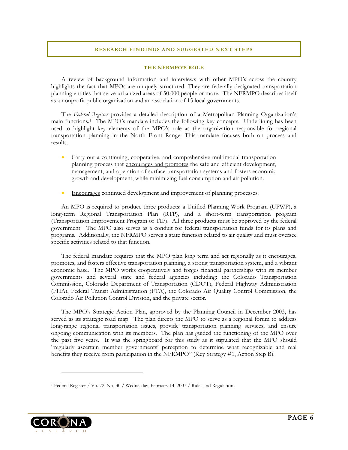#### **RESEARCH FINDINGS AND SUGGESTED NEXT STEPS**

#### **THE NFRMPO'S ROLE**

<span id="page-7-0"></span>A review of background information and interviews with other MPO's across the country highlights the fact that MPOs are uniquely structured. They are federally designated transportation planning entities that serve urbanized areas of 50,000 people or more. The NFRMPO describes itself as a nonprofit public organization and an association of 15 local governments.

The *Federal Register* provides a detailed description of a Metropolitan Planning Organization's main functions.[1](#page-7-1) The MPO's mandate includes the following key concepts. Underlining has been used to highlight key elements of the MPO's role as the organization responsible for regional transportation planning in the North Front Range. This mandate focuses both on process and results.

- Carry out a continuing, cooperative, and comprehensive multimodal transportation planning process that encourages and promotes the safe and efficient development, management, and operation of surface transportation systems and fosters economic growth and development, while minimizing fuel consumption and air pollution.
- Encourages continued development and improvement of planning processes.

An MPO is required to produce three products: a Unified Planning Work Program (UPWP), a long-term Regional Transportation Plan (RTP), and a short-term transportation program (Transportation Improvement Program or TIP). All three products must be approved by the federal government. The MPO also serves as a conduit for federal transportation funds for its plans and programs. Additionally, the NFRMPO serves a state function related to air quality and must oversee specific activities related to that function.

The federal mandate requires that the MPO plan long term and act regionally as it encourages, promotes, and fosters effective transportation planning, a strong transportation system, and a vibrant economic base. The MPO works cooperatively and forges financial partnerships with its member governments and several state and federal agencies including: the Colorado Transportation Commission, Colorado Department of Transportation (CDOT), Federal Highway Administration (FHA), Federal Transit Administration (FTA), the Colorado Air Quality Control Commission, the Colorado Air Pollution Control Division, and the private sector.

The MPO's Strategic Action Plan, approved by the Planning Council in December 2003, has served as its strategic road map. The plan directs the MPO to serve as a regional forum to address long-range regional transportation issues, provide transportation planning services, and ensure ongoing communication with its members. The plan has guided the functioning of the MPO over the past five years. It was the springboard for this study as it stipulated that the MPO should "regularly ascertain member governments' perception to determine what recognizable and real benefits they receive from participation in the NFRMPO" (Key Strategy #1, Action Step B).

<span id="page-7-1"></span>

 $\overline{a}$ 

<sup>1</sup> Federal Register / Vo. 72, No. 30 / Wednesday, February 14, 2007 / Rules and Regulations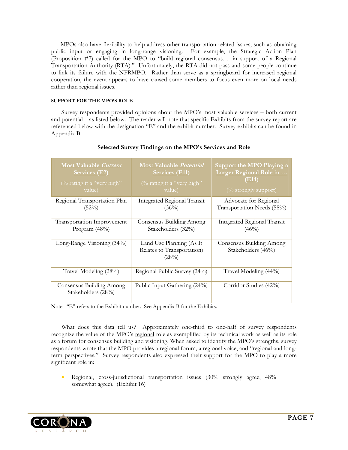MPOs also have flexibility to help address other transportation-related issues, such as obtaining public input or engaging in long-range visioning. For example, the Strategic Action Plan (Proposition #7) called for the MPO to "build regional consensus. . .in support of a Regional Transportation Authority (RTA)." Unfortunately, the RTA did not pass and some people continue to link its failure with the NFRMPO. Rather than serve as a springboard for increased regional cooperation, the event appears to have caused some members to focus even more on local needs rather than regional issues.

#### **SUPPORT FOR THE MPO'S ROLE**

Survey respondents provided opinions about the MPO's most valuable services – both current and potential – as listed below. The reader will note that specific Exhibits from the survey report are referenced below with the designation "E" and the exhibit number. Survey exhibits can be found in Appendix B.

| <b>Most Valuable Current</b>                   | <b>Most Valuable Potential</b>                                  | <b>Support the MPO Playing a</b>                                      |
|------------------------------------------------|-----------------------------------------------------------------|-----------------------------------------------------------------------|
| <b>Services (E2)</b>                           | Services (E11)                                                  | Larger Regional Role in                                               |
| (% rating it a "very high"                     | (% rating it a "very high"                                      | (E14)                                                                 |
| value)                                         | value)                                                          | $\frac{(\% \text{ strongly support})}{(\% \text{ strongly support})}$ |
| Regional Transportation Plan                   | <b>Integrated Regional Transit</b>                              | Advocate for Regional                                                 |
| $(52\%)$                                       | $(36\%)$                                                        | Transportation Needs (58%)                                            |
| Transportation Improvement                     | Consensus Building Among                                        | <b>Integrated Regional Transit</b>                                    |
| Program $(48%)$                                | Stakeholders (32%)                                              | $(46\%)$                                                              |
| Long-Range Visioning (34%)                     | Land Use Planning (As It<br>Relates to Transportation)<br>(28%) | Consensus Building Among<br>Stakeholders (46%)                        |
| Travel Modeling (28%)                          | Regional Public Survey (24%)                                    | Travel Modeling (44%)                                                 |
| Consensus Building Among<br>Stakeholders (28%) | Public Input Gathering (24%)                                    | Corridor Studies (42%)                                                |

#### **Selected Survey Findings on the MPO's Services and Role**

Note: "E" refers to the Exhibit number. See Appendix B for the Exhibits.

What does this data tell us? Approximately one-third to one-half of survey respondents recognize the value of the MPO's regional role as exemplified by its technical work as well as its role as a forum for consensus building and visioning. When asked to identify the MPO's strengths, survey respondents wrote that the MPO provides a regional forum, a regional voice, and "regional and longterm perspectives." Survey respondents also expressed their support for the MPO to play a more significant role in:

• Regional, cross-jurisdictional transportation issues (30% strongly agree, 48% somewhat agree). (Exhibit 16)

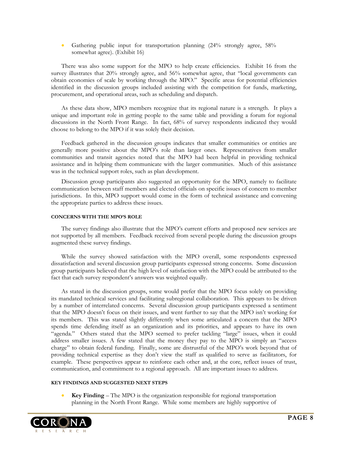• Gathering public input for transportation planning (24% strongly agree, 58% somewhat agree). (Exhibit 16)

There was also some support for the MPO to help create efficiencies. Exhibit 16 from the survey illustrates that 20% strongly agree, and 56% somewhat agree, that "local governments can obtain economies of scale by working through the MPO." Specific areas for potential efficiencies identified in the discussion groups included assisting with the competition for funds, marketing, procurement, and operational areas, such as scheduling and dispatch.

As these data show, MPO members recognize that its regional nature is a strength. It plays a unique and important role in getting people to the same table and providing a forum for regional discussions in the North Front Range. In fact, 68% of survey respondents indicated they would choose to belong to the MPO if it was solely their decision.

Feedback gathered in the discussion groups indicates that smaller communities or entities are generally more positive about the MPO's role than larger ones. Representatives from smaller communities and transit agencies noted that the MPO had been helpful in providing technical assistance and in helping them communicate with the larger communities. Much of this assistance was in the technical support roles, such as plan development.

Discussion group participants also suggested an opportunity for the MPO, namely to facilitate communication between staff members and elected officials on specific issues of concern to member jurisdictions. In this, MPO support would come in the form of technical assistance and convening the appropriate parties to address these issues.

#### **CONCERNS WITH THE MPO'S ROLE**

The survey findings also illustrate that the MPO's current efforts and proposed new services are not supported by all members. Feedback received from several people during the discussion groups augmented these survey findings.

While the survey showed satisfaction with the MPO overall, some respondents expressed dissatisfaction and several discussion group participants expressed strong concerns. Some discussion group participants believed that the high level of satisfaction with the MPO could be attributed to the fact that each survey respondent's answers was weighted equally.

As stated in the discussion groups, some would prefer that the MPO focus solely on providing its mandated technical services and facilitating subregional collaboration. This appears to be driven by a number of interrelated concerns. Several discussion group participants expressed a sentiment that the MPO doesn't focus on their issues, and went further to say that the MPO isn't working for its members. This was stated slightly differently when some articulated a concern that the MPO spends time defending itself as an organization and its priorities, and appears to have its own "agenda." Others stated that the MPO seemed to prefer tackling "large" issues, when it could address smaller issues. A few stated that the money they pay to the MPO is simply an "access charge" to obtain federal funding. Finally, some are distrustful of the MPO's work beyond that of providing technical expertise as they don't view the staff as qualified to serve as facilitators, for example. These perspectives appear to reinforce each other and, at the core, reflect issues of trust, communication, and commitment to a regional approach. All are important issues to address.

#### **KEY FINDINGS AND SUGGESTED NEXT STEPS**

• **Key Finding** – The MPO is the organization responsible for regional transportation planning in the North Front Range. While some members are highly supportive of

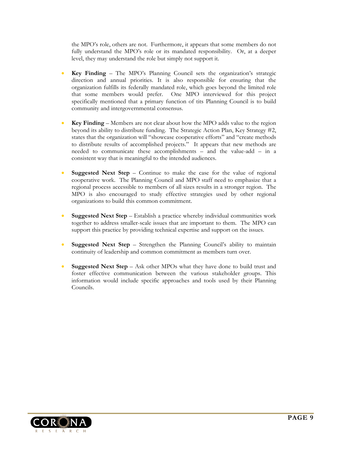the MPO's role, others are not. Furthermore, it appears that some members do not fully understand the MPO's role or its mandated responsibility. Or, at a deeper level, they may understand the role but simply not support it.

- **Key Finding** The MPO's Planning Council sets the organization's strategic direction and annual priorities. It is also responsible for ensuring that the organization fulfills its federally mandated role, which goes beyond the limited role that some members would prefer. One MPO interviewed for this project specifically mentioned that a primary function of tits Planning Council is to build community and intergovernmental consensus.
- **Key Finding** Members are not clear about how the MPO adds value to the region beyond its ability to distribute funding. The Strategic Action Plan, Key Strategy #2, states that the organization will "showcase cooperative efforts" and "create methods to distribute results of accomplished projects." It appears that new methods are needed to communicate these accomplishments – and the value-add – in a consistent way that is meaningful to the intended audiences.
- **Suggested Next Step** Continue to make the case for the value of regional cooperative work. The Planning Council and MPO staff need to emphasize that a regional process accessible to members of all sizes results in a stronger region. The MPO is also encouraged to study effective strategies used by other regional organizations to build this common commitment.
- **Suggested Next Step** Establish a practice whereby individual communities work together to address smaller-scale issues that are important to them. The MPO can support this practice by providing technical expertise and support on the issues.
- **Suggested Next Step** Strengthen the Planning Council's ability to maintain continuity of leadership and common commitment as members turn over.
- **Suggested Next Step** Ask other MPOs what they have done to build trust and foster effective communication between the various stakeholder groups. This information would include specific approaches and tools used by their Planning Councils.

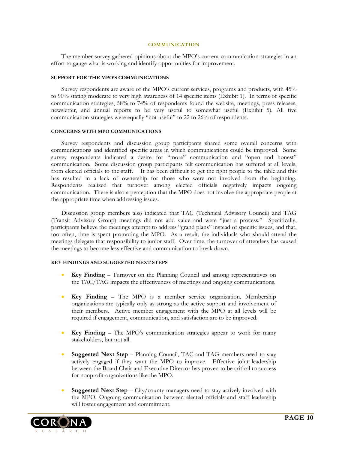#### **COMMUNICATION**

<span id="page-11-0"></span>The member survey gathered opinions about the MPO's current communication strategies in an effort to gauge what is working and identify opportunities for improvement.

#### **SUPPORT FOR THE MPO'S COMMUNICATIONS**

Survey respondents are aware of the MPO's current services, programs and products, with 45% to 90% stating moderate to very high awareness of 14 specific items (Exhibit 1). In terms of specific communication strategies, 58% to 74% of respondents found the website, meetings, press releases, newsletter, and annual reports to be very useful to somewhat useful (Exhibit 5). All five communication strategies were equally "not useful" to 22 to 26% of respondents.

#### **CONCERNS WITH MPO COMMUNICATIONS**

Survey respondents and discussion group participants shared some overall concerns with communications and identified specific areas in which communications could be improved. Some survey respondents indicated a desire for "more" communication and "open and honest" communication. Some discussion group participants felt communication has suffered at all levels, from elected officials to the staff. It has been difficult to get the right people to the table and this has resulted in a lack of ownership for those who were not involved from the beginning. Respondents realized that turnover among elected officials negatively impacts ongoing communication. There is also a perception that the MPO does not involve the appropriate people at the appropriate time when addressing issues.

Discussion group members also indicated that TAC (Technical Advisory Council) and TAG (Transit Advisory Group) meetings did not add value and were "just a process." Specifically, participants believe the meetings attempt to address "grand plans" instead of specific issues, and that, too often, time is spent promoting the MPO. As a result, the individuals who should attend the meetings delegate that responsibility to junior staff. Over time, the turnover of attendees has caused the meetings to become less effective and communication to break down.

#### **KEY FINDINGS AND SUGGESTED NEXT STEPS**

- **Key Finding** Turnover on the Planning Council and among representatives on the TAC/TAG impacts the effectiveness of meetings and ongoing communications.
- **Key Finding** The MPO is a member service organization. Membership organizations are typically only as strong as the active support and involvement of their members. Active member engagement with the MPO at all levels will be required if engagement, communication, and satisfaction are to be improved.
- **Key Finding**  The MPO's communication strategies appear to work for many stakeholders, but not all.
- **Suggested Next Step**  Planning Council, TAC and TAG members need to stay actively engaged if they want the MPO to improve. Effective joint leadership between the Board Chair and Executive Director has proven to be critical to success for nonprofit organizations like the MPO.
- **Suggested Next Step**  City/county managers need to stay actively involved with the MPO. Ongoing communication between elected officials and staff leadership will foster engagement and commitment.

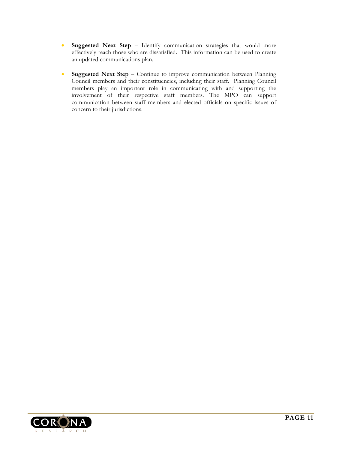- **Suggested Next Step**  Identify communication strategies that would more effectively reach those who are dissatisfied. This information can be used to create an updated communications plan.
- **Suggested Next Step** Continue to improve communication between Planning Council members and their constituencies, including their staff. Planning Council members play an important role in communicating with and supporting the involvement of their respective staff members. The MPO can support communication between staff members and elected officials on specific issues of concern to their jurisdictions.

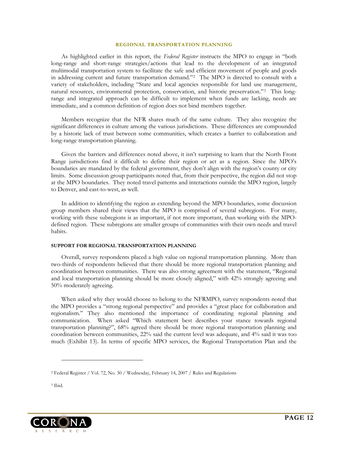#### **REGIONAL TRANSPORTATION PLANNING**

<span id="page-13-0"></span>As highlighted earlier in this report, the *Federal Register* instructs the MPO to engage in "both long-range and short-range strategies/actions that lead to the development of an integrated multimodal transportation system to facilitate the safe and efficient movement of people and goods in addressing current and future transportation demand."[2](#page-13-1) The MPO is directed to consult with a variety of stakeholders, including "State and local agencies responsible for land use management, natural resources, environmental protection, conservation, and historic preservation."[3](#page-13-2) This longrange and integrated approach can be difficult to implement when funds are lacking, needs are immediate, and a common definition of region does not bind members together.

Members recognize that the NFR shares much of the same culture. They also recognize the significant differences in culture among the various jurisdictions. These differences are compounded by a historic lack of trust between some communities, which creates a barrier to collaboration and long-range transportation planning.

Given the barriers and differences noted above, it isn't surprising to learn that the North Front Range jurisdictions find it difficult to define their region or act as a region. Since the MPO's boundaries are mandated by the federal government, they don't align with the region's county or city limits. Some discussion group participants noted that, from their perspective, the region did not stop at the MPO boundaries. They noted travel patterns and interactions outside the MPO region, largely to Denver, and east-to-west, as well.

In addition to identifying the region as extending beyond the MPO boundaries, some discussion group members shared their views that the MPO is comprised of several subregions. For many, working with these subregions is as important, if not more important, than working with the MPOdefined region. These subregions are smaller groups of communities with their own needs and travel habits.

#### **SUPPORT FOR REGIONAL TRANSPORTATION PLANNING**

Overall, survey respondents placed a high value on regional transportation planning. More than two-thirds of respondents believed that there should be more regional transportation planning and coordination between communities. There was also strong agreement with the statement, "Regional and local transportation planning should be more closely aligned," with 42% strongly agreeing and 50% moderately agreeing.

When asked why they would choose to belong to the NFRMPO, survey respondents noted that the MPO provides a "strong regional perspective" and provides a "great place for collaboration and regionalism." They also mentioned the importance of coordinating regional planning and communication. When asked "Which statement best describes your stance towards regional transportation planning?", 68% agreed there should be more regional transportation planning and coordination between communities, 22% said the current level was adequate, and 4% said it was too much (Exhibit 13). In terms of specific MPO services, the Regional Transportation Plan and the

-

<span id="page-13-2"></span>

<span id="page-13-1"></span><sup>2</sup> Federal Register / Vol. 72, No. 30 / Wednesday, February 14, 2007 / Rules and Regulations

<sup>3</sup> Ibid.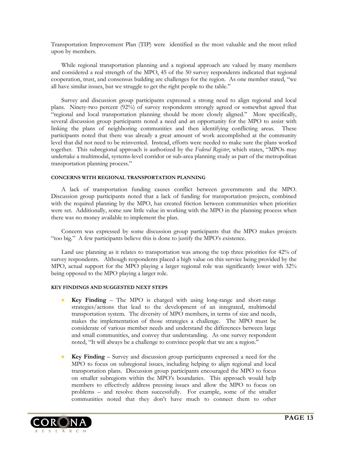Transportation Improvement Plan (TIP) were identified as the most valuable and the most relied upon by members.

While regional transportation planning and a regional approach are valued by many members and considered a real strength of the MPO, 45 of the 50 survey respondents indicated that regional cooperation, trust, and consensus building are challenges for the region. As one member stated, "we all have similar issues, but we struggle to get the right people to the table."

Survey and discussion group participants expressed a strong need to align regional and local plans. Ninety-two percent (92%) of survey respondents strongly agreed or somewhat agreed that "regional and local transportation planning should be more closely aligned." More specifically, several discussion group participants noted a need and an opportunity for the MPO to assist with linking the plans of neighboring communities and then identifying conflicting areas. These participants noted that there was already a great amount of work accomplished at the community level that did not need to be reinvented. Instead, efforts were needed to make sure the plans worked together. This subregional approach is authorized by the *Federal Register*, which states, "MPOs may undertake a multimodal, systems-level corridor or sub-area planning study as part of the metropolitan transportation planning process."

#### **CONCERNS WITH REGIONAL TRANSPORTATION PLANNING**

A lack of transportation funding causes conflict between governments and the MPO. Discussion group participants noted that a lack of funding for transportation projects, combined with the required planning by the MPO, has created friction between communities when priorities were set. Additionally, some saw little value in working with the MPO in the planning process when there was no money available to implement the plan.

Concern was expressed by some discussion group participants that the MPO makes projects "too big." A few participants believe this is done to justify the MPO's existence.

Land use planning as it relates to transportation was among the top three priorities for 42% of survey respondents. Although respondents placed a high value on this service being provided by the MPO, actual support for the MPO playing a larger regional role was significantly lower with 32% being opposed to the MPO playing a larger role.

#### **KEY FINDINGS AND SUGGESTED NEXT STEPS**

- **Key Finding** The MPO is charged with using long-range and short-range strategies/actions that lead to the development of an integrated, multimodal transportation system. The diversity of MPO members, in terms of size and needs, makes the implementation of those strategies a challenge. The MPO must be considerate of various member needs and understand the differences between large and small communities, and convey that understanding. As one survey respondent noted, "It will always be a challenge to convince people that we are a region."
- **Key Finding** Survey and discussion group participants expressed a need for the MPO to focus on subregional issues, including helping to align regional and local transportation plans. Discussion group participants encouraged the MPO to focus on smaller subregions within the MPO's boundaries. This approach would help members to effectively address pressing issues and allow the MPO to focus on problems – and resolve them successfully. For example, some of the smaller communities noted that they don't have much to connect them to other

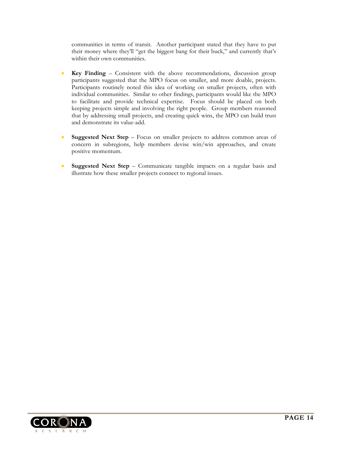communities in terms of transit. Another participant stated that they have to put their money where they'll "get the biggest bang for their buck," and currently that's within their own communities.

- **Key Finding** Consistent with the above recommendations, discussion group participants suggested that the MPO focus on smaller, and more doable, projects. Participants routinely noted this idea of working on smaller projects, often with individual communities. Similar to other findings, participants would like the MPO to facilitate and provide technical expertise. Focus should be placed on both keeping projects simple and involving the right people. Group members reasoned that by addressing small projects, and creating quick wins, the MPO can build trust and demonstrate its value-add.
- **Suggested Next Step**  Focus on smaller projects to address common areas of concern in subregions, help members devise win/win approaches, and create positive momentum.
- **Suggested Next Step**  Communicate tangible impacts on a regular basis and illustrate how these smaller projects connect to regional issues.

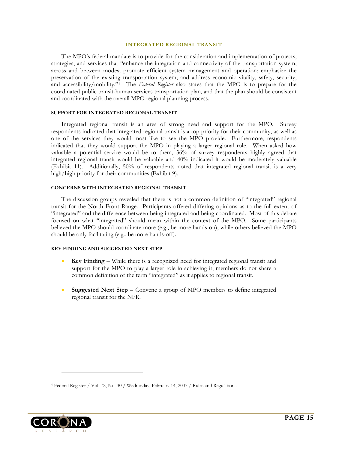#### **INTEGRATED REGIONAL TRANSIT**

<span id="page-16-0"></span>The MPO's federal mandate is to provide for the consideration and implementation of projects, strategies, and services that "enhance the integration and connectivity of the transportation system, across and between modes; promote efficient system management and operation; emphasize the preservation of the existing transportation system; and address economic vitality, safety, security, and accessibility/mobility."[4](#page-16-1) The *Federal Register* also states that the MPO is to prepare for the coordinated public transit-human services transportation plan, and that the plan should be consistent and coordinated with the overall MPO regional planning process.

#### **SUPPORT FOR INTEGRATED REGIONAL TRANSIT**

Integrated regional transit is an area of strong need and support for the MPO. Survey respondents indicated that integrated regional transit is a top priority for their community, as well as one of the services they would most like to see the MPO provide. Furthermore, respondents indicated that they would support the MPO in playing a larger regional role. When asked how valuable a potential service would be to them, 36% of survey respondents highly agreed that integrated regional transit would be valuable and 40% indicated it would be moderately valuable (Exhibit 11). Additionally, 50% of respondents noted that integrated regional transit is a very high/high priority for their communities (Exhibit 9).

#### **CONCERNS WITH INTEGRATED REGIONAL TRANSIT**

The discussion groups revealed that there is not a common definition of "integrated" regional transit for the North Front Range. Participants offered differing opinions as to the full extent of "integrated" and the difference between being integrated and being coordinated. Most of this debate focused on what "integrated" should mean within the context of the MPO. Some participants believed the MPO should coordinate more (e.g., be more hands-on), while others believed the MPO should be only facilitating (e.g., be more hands-off).

#### **KEY FINDING AND SUGGESTED NEXT STEP**

- **Key Finding** While there is a recognized need for integrated regional transit and support for the MPO to play a larger role in achieving it, members do not share a common definition of the term "integrated" as it applies to regional transit.
- **Suggested Next Step**  Convene a group of MPO members to define integrated regional transit for the NFR.

<span id="page-16-1"></span>

 $\overline{a}$ 

<sup>4</sup> Federal Register / Vol. 72, No. 30 / Wednesday, February 14, 2007 / Rules and Regulations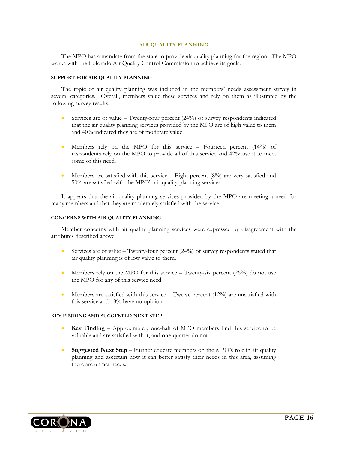#### **AIR QUALITY PLANNING**

<span id="page-17-0"></span>The MPO has a mandate from the state to provide air quality planning for the region. The MPO works with the Colorado Air Quality Control Commission to achieve its goals.

#### **SUPPORT FOR AIR QUALITY PLANNING**

The topic of air quality planning was included in the members' needs assessment survey in several categories. Overall, members value these services and rely on them as illustrated by the following survey results.

- Services are of value Twenty-four percent  $(24%)$  of survey respondents indicated that the air quality planning services provided by the MPO are of high value to them and 40% indicated they are of moderate value.
- Members rely on the MPO for this service Fourteen percent (14%) of respondents rely on the MPO to provide all of this service and 42% use it to meet some of this need.
- Members are satisfied with this service Eight percent  $(8%)$  are very satisfied and 50% are satisfied with the MPO's air quality planning services.

It appears that the air quality planning services provided by the MPO are meeting a need for many members and that they are moderately satisfied with the service.

#### **CONCERNS WITH AIR QUALITY PLANNING**

Member concerns with air quality planning services were expressed by disagreement with the attributes described above.

- Services are of value Twenty-four percent (24%) of survey respondents stated that air quality planning is of low value to them.
- Members rely on the MPO for this service Twenty-six percent  $(26%)$  do not use the MPO for any of this service need.
- Members are satisfied with this service  $-$  Twelve percent (12%) are unsatisfied with this service and 18% have no opinion.

#### **KEY FINDING AND SUGGESTED NEXT STEP**

- **Key Finding** Approximately one-half of MPO members find this service to be valuable and are satisfied with it, and one-quarter do not.
- **Suggested Next Step** Further educate members on the MPO's role in air quality planning and ascertain how it can better satisfy their needs in this area, assuming there are unmet needs.

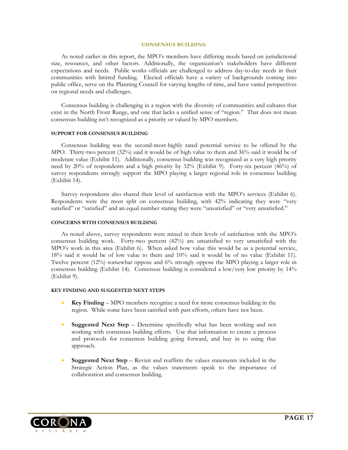#### **CONSENSUS BUILDING**

<span id="page-18-0"></span>As noted earlier in this report, the MPO's members have differing needs based on jurisdictional size, resources, and other factors. Additionally, the organization's stakeholders have different expectations and needs. Public works officials are challenged to address day-to-day needs in their communities with limited funding. Elected officials have a variety of backgrounds coming into public office, serve on the Planning Council for varying lengths of time, and have varied perspectives on regional needs and challenges.

Consensus building is challenging in a region with the diversity of communities and cultures that exist in the North Front Range, and one that lacks a unified sense of "region." That does not mean consensus building isn't recognized as a priority or valued by MPO members.

#### **SUPPORT FOR CONSENSUS BUILDING**

Consensus building was the second-most-highly rated potential service to be offered by the MPO. Thirty-two percent (32%) said it would be of high value to them and 36% said it would be of moderate value (Exhibit 11). Additionally, consensus building was recognized as a very high priority need by 20% of respondents and a high priority by 32% (Exhibit 9). Forty-six percent (46%) of survey respondents strongly support the MPO playing a larger regional role in consensus building (Exhibit 14).

Survey respondents also shared their level of satisfaction with the MPO's services (Exhibit 6). Respondents were the most split on consensus building, with 42% indicating they were "very satisfied" or "satisfied" and an equal number stating they were "unsatisfied" or "very unsatisfied."

#### **CONCERNS WITH CONSENSUS BUILDING**

As noted above, survey respondents were mixed in their levels of satisfaction with the MPO's consensus building work. Forty-two percent (42%) are unsatisfied to very unsatisfied with the MPO's work in this area (Exhibit 6). When asked how value this would be as a potential service, 18% said it would be of low value to them and 10% said it would be of no value (Exhibit 11). Twelve percent (12%) somewhat oppose and 6% strongly oppose the MPO playing a larger role in consensus building (Exhibit 14). Consensus building is considered a low/very low priority by 14% (Exhibit 9).

#### **KEY FINDING AND SUGGESTED NEXT STEPS**

- **Key Finding** MPO members recognize a need for more consensus building in the region. While some have been satisfied with past efforts, others have not been.
- **Suggested Next Step**  Determine specifically what has been working and not working with consensus building efforts. Use that information to create a process and protocols for consensus building going forward, and buy in to using that approach.
- **Suggested Next Step**  Revisit and reaffirm the values statements included in the Strategic Action Plan, as the values statements speak to the importance of collaboration and consensus building.

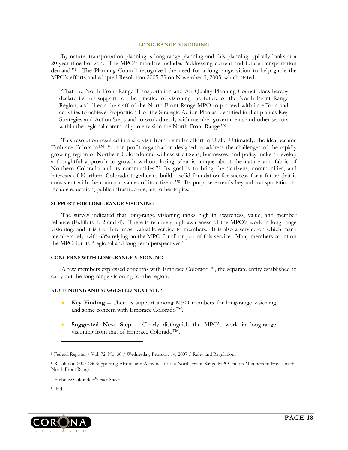#### **LONG-RANGE VISIONING**

<span id="page-19-0"></span>By nature, transportation planning is long-range planning and this planning typically looks at a 20-year time horizon. The MPO's mandate includes "addressing current and future transportation demand."[5](#page-19-1) The Planning Council recognized the need for a long-range vision to help guide the MPO's efforts and adopted Resolution 2005-23 on November 3, 2005, which stated:

"That the North Front Range Transportation and Air Quality Planning Council does hereby declare its full support for the practice of visioning the future of the North Front Range Region, and directs the staff of the North Front Range MPO to proceed with its efforts and activities to achieve Proposition 1 of the Strategic Action Plan as identified in that plan as Key Strategies and Action Steps and to work directly with member governments and other sectors within the regional community to envision the North Front Range."<sup>[6](#page-19-2)</sup>

This resolution resulted in a site visit from a similar effort in Utah. Ultimately, the idea became Embrace Colorado™, "a non-profit organization designed to address the challenges of the rapidly growing region of Northern Colorado and will assist citizens, businesses, and policy makers develop a thoughtful approach to growth without losing what is unique about the nature and fabric of Northern Colorado and its communities."[7](#page-19-3) Its goal is to bring the "citizens, communities, and interests of Northern Colorado together to build a solid foundation for success for a future that is consistent with the common values of its citizens."[8](#page-19-4) Its purpose extends beyond transportation to include education, public infrastructure, and other topics.

#### **SUPPORT FOR LONG-RANGE VISIONING**

The survey indicated that long-range visioning ranks high in awareness, value, and member reliance (Exhibits 1, 2 and 4). There is relatively high awareness of the MPO's work in long-range visioning, and it is the third most valuable service to members. It is also a service on which many members rely, with 68% relying on the MPO for all or part of this service. Many members count on the MPO for its "regional and long-term perspectives."

#### **CONCERNS WITH LONG-RANGE VISIONING**

A few members expressed concerns with Embrace Colorado™, the separate entity established to carry out the long-range visioning for the region.

#### **KEY FINDING AND SUGGESTED NEXT STEP**

- **Key Finding** There is support among MPO members for long-range visioning and some concern with Embrace Colorado™.
- **Suggested Next Step**  Clearly distinguish the MPO's work in long-range visioning from that of Embrace Colorado™.

8 Ibid.

 $\overline{a}$ 

<span id="page-19-4"></span><span id="page-19-3"></span>

<span id="page-19-1"></span><sup>5</sup> Federal Register / Vol. 72, No. 30 / Wednesday, February 14, 2007 / Rules and Regulations

<span id="page-19-2"></span><sup>6</sup> Resolution 2005-23: Supporting Efforts and Activities of the North Front Range MPO and its Members to Envision the North Front Range

<sup>7</sup> Embrace Colorado™ Fact Sheet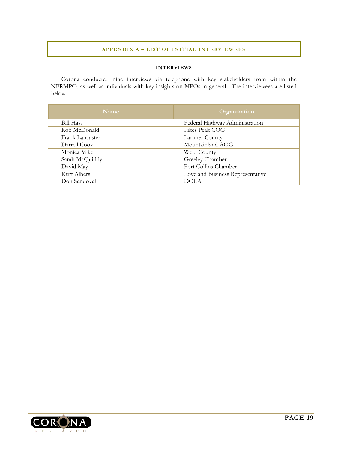#### **APPENDIX A – LIST OF INITIAL INTERVIEWEES**

#### **INTERVIEWS**

<span id="page-20-0"></span>Corona conducted nine interviews via telephone with key stakeholders from within the NFRMPO, as well as individuals with key insights on MPOs in general. The interviewees are listed below.

| Name            | Organization                     |
|-----------------|----------------------------------|
| Bill Hass       | Federal Highway Administration   |
| Rob McDonald    | Pikes Peak COG                   |
| Frank Lancaster | Larimer County                   |
| Darrell Cook    | Mountainland AOG                 |
| Monica Mike     | Weld County                      |
| Sarah McQuiddy  | Greeley Chamber                  |
| David May       | Fort Collins Chamber             |
| Kurt Albers     | Loveland Business Representative |
| Don Sandoval    | <b>DOLA</b>                      |

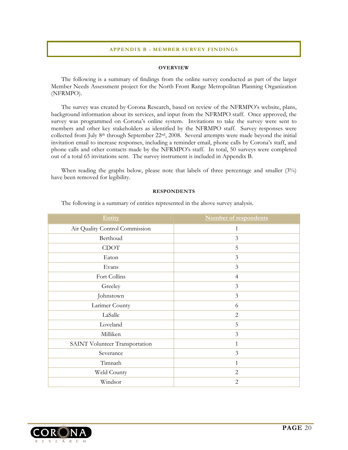#### **APPENDIX B - MEMBER SURVEY FINDINGS**

#### **OVERVIEW**

<span id="page-21-0"></span>The following is a summary of findings from the online survey conducted as part of the larger Member Needs Assessment project for the North Front Range Metropolitan Planning Organization (NFRMPO).

The survey was created by Corona Research, based on review of the NFRMPO's website, plans, background information about its services, and input from the NFRMPO staff. Once approved, the survey was programmed on Corona's online system. Invitations to take the survey were sent to members and other key stakeholders as identified by the NFRMPO staff. Survey responses were collected from July 8th through September 22nd, 2008. Several attempts were made beyond the initial invitation email to increase responses, including a reminder email, phone calls by Corona's staff, and phone calls and other contacts made by the NFRMPO's staff. In total, 50 surveys were completed out of a total 65 invitations sent. The survey instrument is included in Appendix B.

When reading the graphs below, please note that labels of three percentage and smaller (3%) have been removed for legibility.

#### **RESPONDENTS**

The following is a summary of entities represented in the above survey analysis.

| Entity                         | <b>Number of respondents</b> |
|--------------------------------|------------------------------|
| Air Quality Control Commission | $\mathbf{1}$                 |
| Berthoud                       | $\mathfrak{Z}$               |
| <b>CDOT</b>                    | 5                            |
| Eaton                          | $\mathfrak{Z}$               |
| Evans                          | $\mathfrak{Z}$               |
| Fort Collins                   | $\overline{4}$               |
| Greeley                        | $\mathfrak{Z}$               |
| Johnstown                      | $\mathfrak{Z}$               |
| Larimer County                 | 6                            |
| LaSalle                        | $\overline{2}$               |
| Loveland                       | 5                            |
| Milliken                       | $\mathfrak{Z}$               |
| SAINT Volunteer Transportation | $\mathbf{1}$                 |
| Severance                      | 3                            |
| Timnath                        | $\mathbf{1}$                 |
| Weld County                    | $\overline{2}$               |
| Windsor                        | $\overline{2}$               |

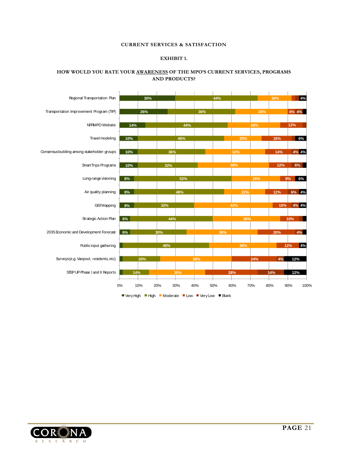#### **CURRENT SERVICES & SATISFACTION**

#### **EXHIBIT 1.**

#### <span id="page-22-0"></span>**HOW WOULD YOU RATE YOUR AWARENESS OF THE MPO'S CURRENT SERVICES, PROGRAMS AND PRODUCTS?**



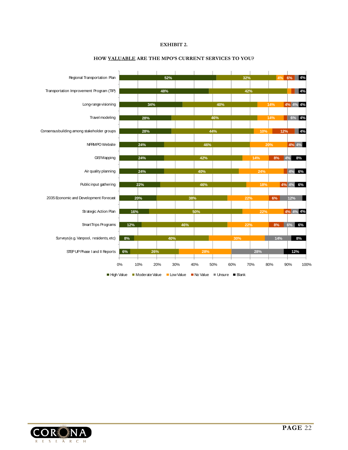#### **EXHIBIT 2.**



#### **HOW VALUABLE ARE THE MPO'S CURRENT SERVICES TO YOU?**

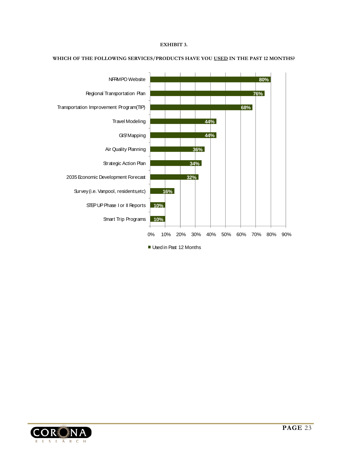#### **EXHIBIT 3.**



#### **WHICH OF THE FOLLOWING SERVICES/PRODUCTS HAVE YOU USED IN THE PAST 12 MONTHS?**

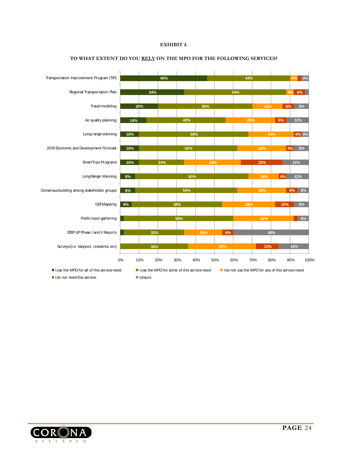#### **EXHIBIT 4.**



#### **TO WHAT EXTENT DO YOU RELY ON THE MPO FOR THE FOLLOWING SERVICES?**

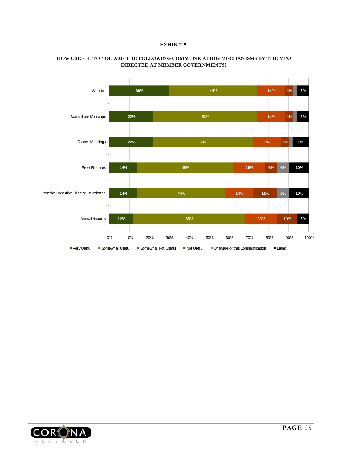#### **EXHIBIT 5.**



#### **HOW USEFUL TO YOU ARE THE FOLLOWING COMMUNICATION MECHANISMS BY THE MPO DIRECTED AT MEMBER GOVERNMENTS?**

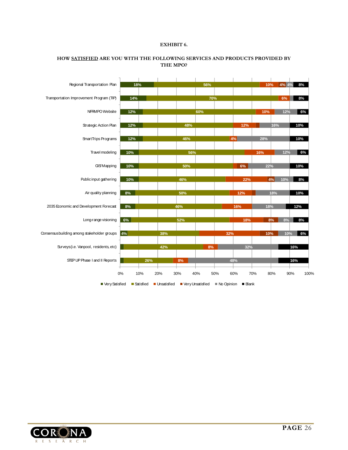#### **EXHIBIT 6.**



#### **HOW SATISFIED ARE YOU WITH THE FOLLOWING SERVICES AND PRODUCTS PROVIDED BY THE MPO?**

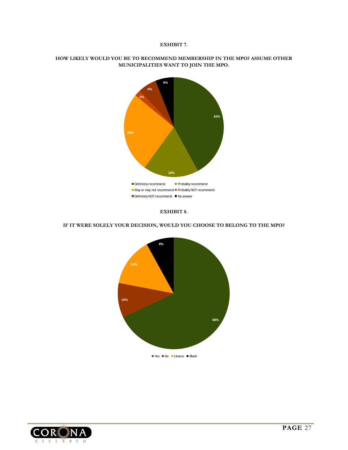#### **EXHIBIT 7.**



#### **HOW LIKELY WOULD YOU BE TO RECOMMEND MEMBERSHIP IN THE MPO? ASSUME OTHER MUNICIPALITIES WANT TO JOIN THE MPO.**



**IF IT WERE SOLELY YOUR DECISION, WOULD YOU CHOOSE TO BELONG TO THE MPO?** 



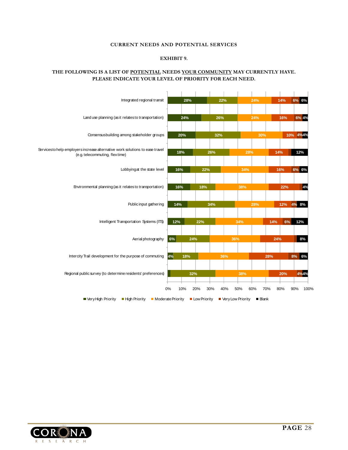#### **CURRENT NEEDS AND POTENTIAL SERVICES**

#### **EXHIBIT 9.**

#### <span id="page-29-0"></span>**THE FOLLOWING IS A LIST OF POTENTIAL NEEDS YOUR COMMUNITY MAY CURRENTLY HAVE. PLEASE INDICATE YOUR LEVEL OF PRIORITY FOR EACH NEED.**



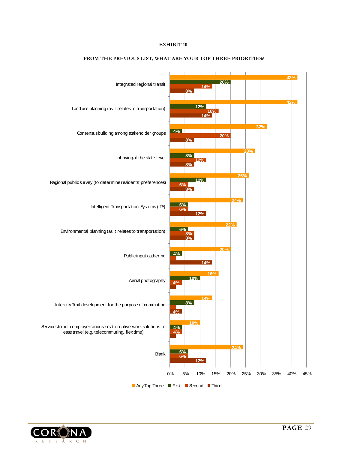#### **EXHIBIT 10.**



#### **FROM THE PREVIOUS LIST, WHAT ARE YOUR TOP THREE PRIORITIES?**

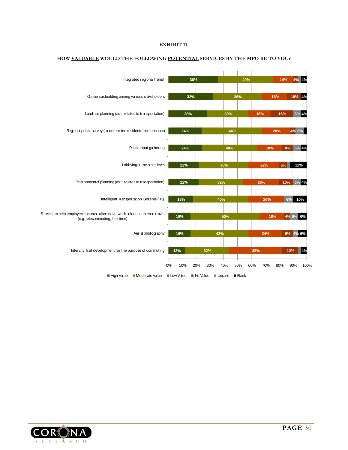#### **EXHIBIT 11.**



#### **HOW VALUABLE WOULD THE FOLLOWING POTENTIAL SERVICES BY THE MPO BE TO YOU?**

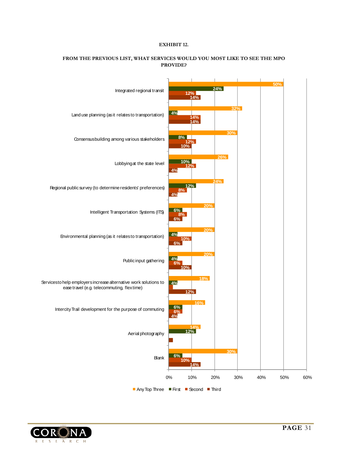#### **EXHIBIT 12.**



#### **FROM THE PREVIOUS LIST, WHAT SERVICES WOULD YOU MOST LIKE TO SEE THE MPO PROVIDE?**

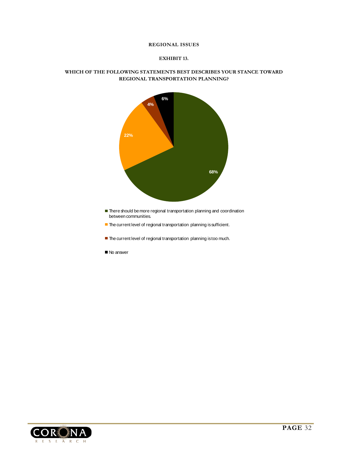#### **REGIONAL ISSUES**

#### **EXHIBIT 13.**

#### <span id="page-33-0"></span>**WHICH OF THE FOLLOWING STATEMENTS BEST DESCRIBES YOUR STANCE TOWARD REGIONAL TRANSPORTATION PLANNING?**



- **There should be more regional transportation planning and coordination** between communities.
- **The current level of regional transportation planning is sufficient.**
- **The current level of regional transportation planning is too much.**
- No answer

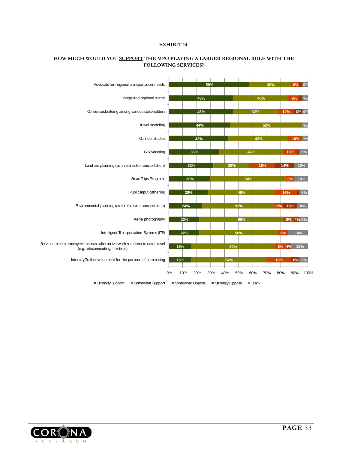#### **EXHIBIT 14.**



#### **HOW MUCH WOULD YOU SUPPORT THE MPO PLAYING A LARGER REGIONAL ROLE WITH THE FOLLOWING SERVICES?**

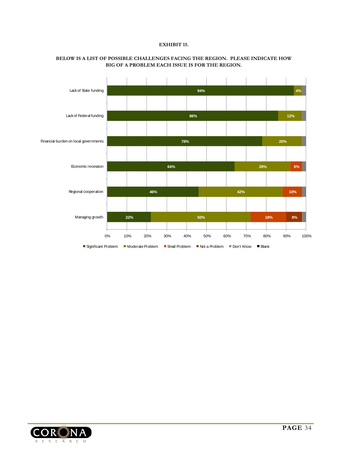#### **EXHIBIT 15.**



#### **BELOW IS A LIST OF POSSIBLE CHALLENGES FACING THE REGION. PLEASE INDICATE HOW BIG OF A PROBLEM EACH ISSUE IS FOR THE REGION.**

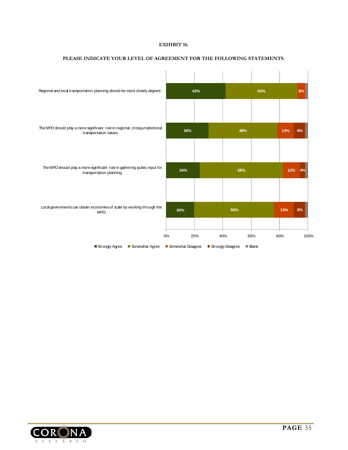#### **EXHIBIT 16.**



#### **PLEASE INDICATE YOUR LEVEL OF AGREEMENT FOR THE FOLLOWING STATEMENTS.**

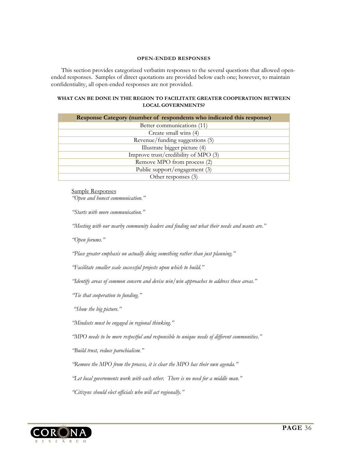#### **OPEN-ENDED RESPONSES**

<span id="page-37-0"></span>This section provides categorized verbatim responses to the several questions that allowed openended responses. Samples of direct quotations are provided below each one; however, to maintain confidentiality, all open-ended responses are not provided.

#### **WHAT CAN BE DONE IN THE REGION TO FACILITATE GREATER COOPERATION BETWEEN LOCAL GOVERNMENTS?**

| <b>Response Category (number of respondents who indicated this response)</b> |
|------------------------------------------------------------------------------|
| Better communications (11)                                                   |
| Create small wins (4)                                                        |
| Revenue/funding suggestions (5)                                              |
| Illustrate bigger picture (4)                                                |
| Improve trust/credibility of MPO (3)                                         |
| Remove MPO from process (2)                                                  |
| Public support/engagement (3)                                                |
| Other responses (3)                                                          |

Sample Responses

*"Open and honest communication."* 

*"Starts with more communication."* 

*"Meeting with our nearby community leaders and finding out what their needs and wants are."* 

*"Open forums."* 

*"Place greater emphasis on actually doing something rather than just planning."* 

*"Facilitate smaller scale successful projects upon which to build."* 

*"Identify areas of common concern and devise win/win approaches to address those areas."* 

*"Tie that cooperation to funding."* 

 *"Show the big picture."* 

*"Mindsets must be engaged in regional thinking."* 

*"MPO needs to be more respectful and responsible to unique needs of different communities."* 

*"Build trust, reduce parochialism."* 

*"Remove the MPO from the process, it is clear the MPO has their own agenda."* 

*"Let local governments work with each other. There is no need for a middle man."* 

*"Citizens should elect officials who will act regionally."* 

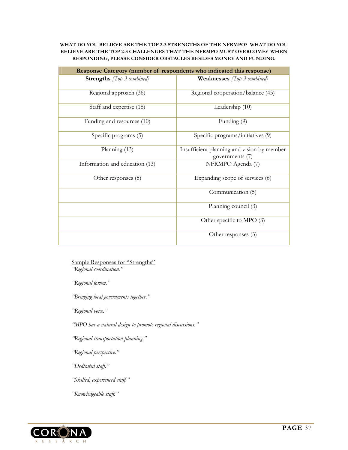#### **WHAT DO YOU BELIEVE ARE THE TOP 2-3 STRENGTHS OF THE NFRMPO? WHAT DO YOU BELIEVE ARE THE TOP 2-3 CHALLENGES THAT THE NFRMPO MUST OVERCOME? WHEN RESPONDING, PLEASE CONSIDER OBSTACLES BESIDES MONEY AND FUNDING.**

| Response Category (number of respondents who indicated this response) |                                                               |  |
|-----------------------------------------------------------------------|---------------------------------------------------------------|--|
| <b>Strengths</b> <i>[Top 3 combined]</i>                              | <b>Weaknesses</b> <i>[Top 3 combined]</i>                     |  |
| Regional approach (36)                                                | Regional cooperation/balance (45)                             |  |
| Staff and expertise (18)                                              | Leadership (10)                                               |  |
| Funding and resources (10)                                            | Funding (9)                                                   |  |
| Specific programs (5)                                                 | Specific programs/initiatives (9)                             |  |
| Planning (13)                                                         | Insufficient planning and vision by member<br>governments (7) |  |
| Information and education (13)                                        | NFRMPO Agenda (7)                                             |  |
| Other responses (5)                                                   | Expanding scope of services (6)                               |  |
|                                                                       | Communication (5)                                             |  |
|                                                                       | Planning council (3)                                          |  |
|                                                                       | Other specific to MPO (3)                                     |  |
|                                                                       | Other responses (3)                                           |  |

Sample Responses for "Strengths" *"Regional coordination."* 

*"Regional forum."* 

*"Bringing local governments together."* 

*"Regional voice."* 

*"MPO has a natural design to promote regional discussions."* 

*"Regional transportation planning."* 

*"Regional perspective."* 

*"Dedicated staff."* 

*"Skilled, experienced staff."* 

*"Knowledgeable staff."* 

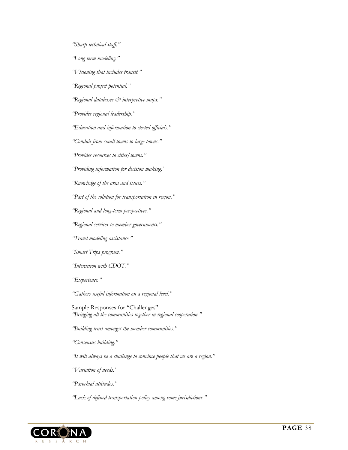*"Sharp technical staff."* 

*"Long term modeling."* 

*"Visioning that includes transit."* 

*"Regional project potential."* 

*"Regional databases & interpretive maps."* 

*"Provides regional leadership."* 

*"Education and information to elected officials."* 

*"Conduit from small towns to large towns."* 

*"Provides resources to cities/towns."* 

*"Providing information for decision making."* 

*"Knowledge of the area and issues."* 

*"Part of the solution for transportation in region."* 

*"Regional and long-term perspectives."* 

*"Regional services to member governments."* 

*"Travel modeling assistance."* 

*"Smart Trips program."* 

*"Interaction with CDOT."* 

*"Experience."* 

*"Gathers useful information on a regional level."* 

Sample Responses for "Challenges" *"Bringing all the communities together in regional cooperation."* 

*"Building trust amongst the member communities."* 

*"Consensus building."* 

*"It will always be a challenge to convince people that we are a region."* 

*"Variation of needs."* 

*"Parochial attitudes."* 

*"Lack of defined transportation policy among some jurisdictions."* 

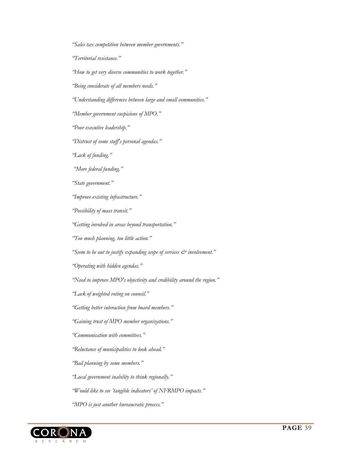*"Sales tax competition between member governments."* 

*"Territorial resistance."* 

*"How to get very diverse communities to work together."* 

*"Being considerate of all members needs."* 

*"Understanding differences between large and small communities."* 

*"Member government suspicions of MPO."* 

*"Poor executive leadership."* 

*"Distrust of some staff's personal agendas."* 

*"Lack of funding."* 

 *"More federal funding."* 

*"State government."* 

*"Improve existing infrastructure."* 

*"Possibility of mass transit."* 

*"Getting involved in areas beyond transportation."* 

*"Too much planning, too little action."* 

*"Seem to be out to justify expanding scope of services & involvement."* 

*"Operating with hidden agendas."* 

*"Need to improve MPO's objectivity and credibility around the region."* 

*"Lack of weighted voting on council."* 

*"Getting better interaction from board members."* 

*"Gaining trust of MPO member organizations."* 

*"Communication with committees."* 

*"Reluctance of municipalities to look ahead."* 

*"Bad planning by some members."* 

*"Local government inability to think regionally."* 

*"Would like to see 'tangible indicators' of NFRMPO impacts."* 

*"MPO is just another bureaucratic process."* 

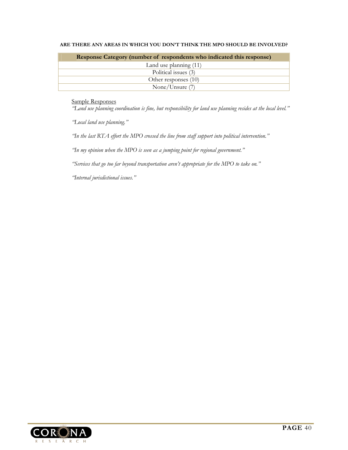| <b>Response Category (number of respondents who indicated this response)</b> |
|------------------------------------------------------------------------------|
| Land use planning (11)                                                       |
| Political issues (3)                                                         |
| Other responses (10)                                                         |
| None/Unsure (7)                                                              |

#### **ARE THERE ANY AREAS IN WHICH YOU DON'T THINK THE MPO SHOULD BE INVOLVED?**

Sample Responses

*"Land use planning coordination is fine, but responsibility for land use planning resides at the local level."* 

*"Local land use planning."* 

*"In the last RTA effort the MPO crossed the line from staff support into political intervention."* 

*"In my opinion when the MPO is seen as a jumping point for regional government."* 

*"Services that go too far beyond transportation aren't appropriate for the MPO to take on."* 

*"Internal jurisdictional issues."* 

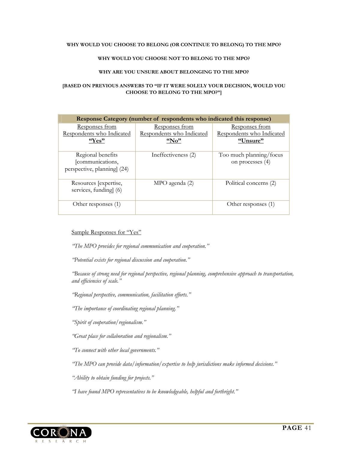#### **WHY WOULD YOU CHOOSE TO BELONG (OR CONTINUE TO BELONG) TO THE MPO?**

#### **WHY WOULD YOU CHOOSE NOT TO BELONG TO THE MPO?**

#### **WHY ARE YOU UNSURE ABOUT BELONGING TO THE MPO?**

#### **[BASED ON PREVIOUS ANSWERS TO "IF IT WERE SOLELY YOUR DECISION, WOULD YOU CHOOSE TO BELONG TO THE MPO?"]**

| Response Category (number of respondents who indicated this response) |                                                            |                                                                |  |
|-----------------------------------------------------------------------|------------------------------------------------------------|----------------------------------------------------------------|--|
| Responses from<br>Respondents who Indicated<br>"Yes"                  | <u>Responses from</u><br>Respondents who Indicated<br>"No" | <u>Responses from</u><br>Respondents who Indicated<br>"Unsure" |  |
| Regional benefits<br>[communications,<br>perspective, planning] (24)  | Ineffectiveness (2)                                        | Too much planning/focus<br>on processes (4)                    |  |
| Resources [expertise,<br>services, funding] (6)                       | MPO agenda (2)                                             | Political concerns (2)                                         |  |
| Other responses (1)                                                   |                                                            | Other responses (1)                                            |  |

#### Sample Responses for "Yes"

*"The MPO provides for regional communication and cooperation."* 

*"Potential exists for regional discussion and cooperation."* 

*"Because of strong need for regional perspective, regional planning, comprehensive approach to transportation, and efficiencies of scale."* 

*"Regional perspective, communication, facilitation efforts."* 

*"The importance of coordinating regional planning."* 

*"Spirit of cooperation/regionalism."* 

*"Great place for collaboration and regionalism."* 

*"To connect with other local governments."* 

*"The MPO can provide data/information/expertise to help jurisdictions make informed decisions."* 

*"Ability to obtain funding for projects."* 

*"I have found MPO representatives to be knowledgeable, helpful and forthright."* 

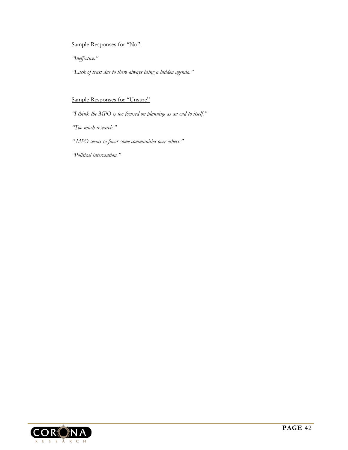#### Sample Responses for "No"

*"Ineffective."* 

*"Lack of trust due to there always being a hidden agenda."* 

#### Sample Responses for "Unsure"

*"I think the MPO is too focused on planning as an end to itself."* 

*"Too much research."* 

*" MPO seems to favor some communities over others."* 

*"Political intervention."* 

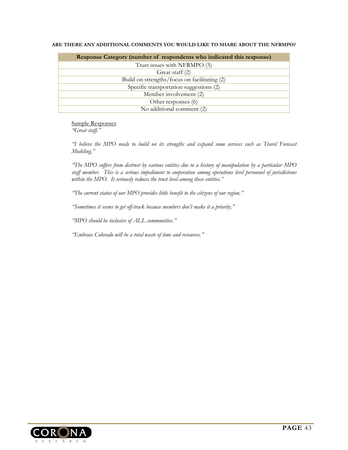|  |  |  |  |  | ARE THERE ANY ADDITIONAL COMMENTS YOU WOULD LIKE TO SHARE ABOUT THE NFRMPO? |  |
|--|--|--|--|--|-----------------------------------------------------------------------------|--|
|--|--|--|--|--|-----------------------------------------------------------------------------|--|

| <b>Response Category (number of respondents who indicated this response)</b> |  |  |  |
|------------------------------------------------------------------------------|--|--|--|
| Trust issues with NFRMPO (5)                                                 |  |  |  |
| Great staff (2)                                                              |  |  |  |
| Build on strengths/focus on facilitating (2)                                 |  |  |  |
| Specific transportation suggestions (2)                                      |  |  |  |
| Member involvement (2)                                                       |  |  |  |
| Other responses (6)                                                          |  |  |  |
| No additional comment (2)                                                    |  |  |  |

Sample Responses *"Great staff."* 

*"I believe the MPO needs to build on its strengths and expand some services such as Travel Forecast Modeling."* 

*"The MPO suffers from distrust by various entities due to a history of manipulation by a particular MPO staff member. This is a serious impediment to cooperation among operations level personnel of jurisdictions within the MPO. It seriously reduces the trust level among these entities."* 

*"The current status of our MPO provides little benefit to the citizens of our region."* 

*"Sometimes it seems to get off-track because members don't make it a priority."* 

*"MPO should be inclusive of ALL communities."* 

*"Embrace Colorado will be a total waste of time and resources."*